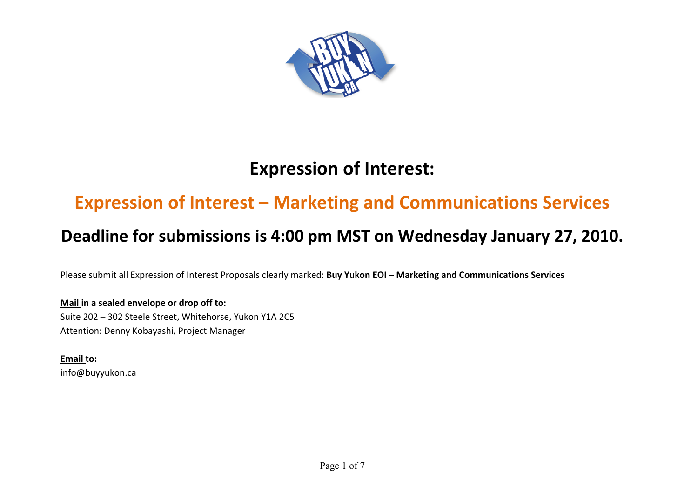

# **Expression of Interest:**

# **Expression of Interest – Marketing and Communications Services**

## **Deadline for submissions is 4:00 pm MST on Wednesday January 27, 2010.**

Please submit all Expression of Interest Proposals clearly marked: **Buy Yukon EOI – Marketing and Communications Services**

## **Mail in a sealed envelope or drop off to:**

Suite 202 – 302 Steele Street, Whitehorse, Yukon Y1A 2C5 Attention: Denny Kobayashi, Project Manager

**Email to:** info@buyyukon.ca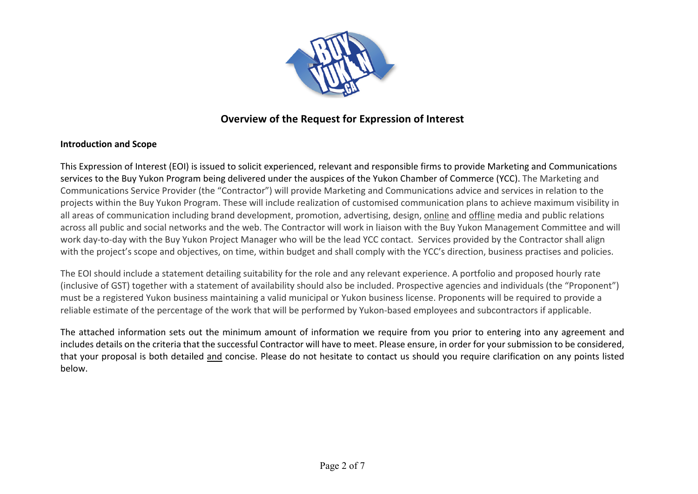

## **Overview of the Request for Expression of Interest**

## **Introduction and Scope**

This Expression of Interest (EOI) is issued to solicit experienced, relevant and responsible firms to provide Marketing and Communications services to the Buy Yukon Program being delivered under the auspices of the Yukon Chamber of Commerce (YCC). The Marketing and Communications Service Provider (the "Contractor") will provide Marketing and Communications advice and services in relation to the projects within the Buy Yukon Program. These will include realization of customised communication plans to achieve maximum visibility in all areas of communication including brand development, promotion, advertising, design, online and offline media and public relations across all public and social networks and the web. The Contractor will work in liaison with the Buy Yukon Management Committee and will work day-to-day with the Buy Yukon Project Manager who will be the lead YCC contact. Services provided by the Contractor shall align with the project's scope and objectives, on time, within budget and shall comply with the YCC's direction, business practises and policies.

The EOI should include a statement detailing suitability for the role and any relevant experience. A portfolio and proposed hourly rate (inclusive of GST) together with a statement of availability should also be included. Prospective agencies and individuals (the "Proponent") must be a registered Yukon business maintaining a valid municipal or Yukon business license. Proponents will be required to provide a reliable estimate of the percentage of the work that will be performed by Yukon-based employees and subcontractors if applicable.

The attached information sets out the minimum amount of information we require from you prior to entering into any agreement and includes details on the criteria that the successful Contractor will have to meet. Please ensure, in order for your submission to be considered, that your proposal is both detailed and concise. Please do not hesitate to contact us should you require clarification on any points listed below.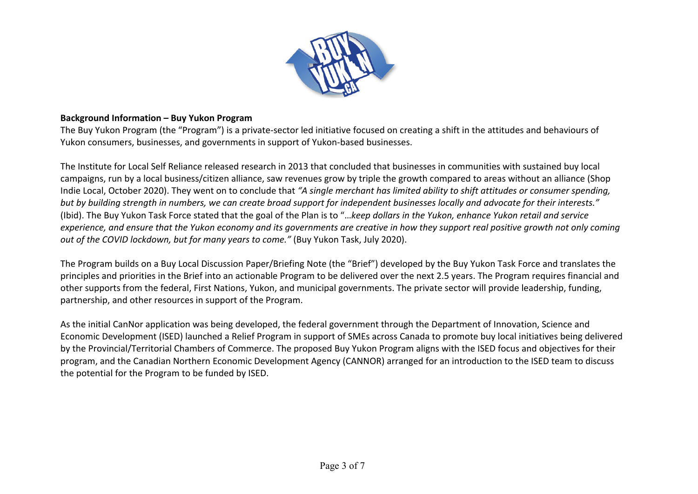

## **Background Information – Buy Yukon Program**

The Buy Yukon Program (the "Program") is a private-sector led initiative focused on creating a shift in the attitudes and behaviours of Yukon consumers, businesses, and governments in support of Yukon-based businesses.

The Institute for Local Self Reliance released research in 2013 that concluded that businesses in communities with sustained buy local campaigns, run by a local business/citizen alliance, saw revenues grow by triple the growth compared to areas without an alliance (Shop Indie Local, October 2020). They went on to conclude that *"A single merchant has limited ability to shift attitudes or consumer spending, but by building strength in numbers, we can create broad support for independent businesses locally and advocate for their interests."* (Ibid). The Buy Yukon Task Force stated that the goal of the Plan is to "…*keep dollars in the Yukon, enhance Yukon retail and service experience, and ensure that the Yukon economy and its governments are creative in how they support real positive growth not only coming out of the COVID lockdown, but for many years to come."* (Buy Yukon Task, July 2020).

The Program builds on a Buy Local Discussion Paper/Briefing Note (the "Brief") developed by the Buy Yukon Task Force and translates the principles and priorities in the Brief into an actionable Program to be delivered over the next 2.5 years. The Program requires financial and other supports from the federal, First Nations, Yukon, and municipal governments. The private sector will provide leadership, funding, partnership, and other resources in support of the Program.

As the initial CanNor application was being developed, the federal government through the Department of Innovation, Science and Economic Development (ISED) launched a Relief Program in support of SMEs across Canada to promote buy local initiatives being delivered by the Provincial/Territorial Chambers of Commerce. The proposed Buy Yukon Program aligns with the ISED focus and objectives for their program, and the Canadian Northern Economic Development Agency (CANNOR) arranged for an introduction to the ISED team to discuss the potential for the Program to be funded by ISED.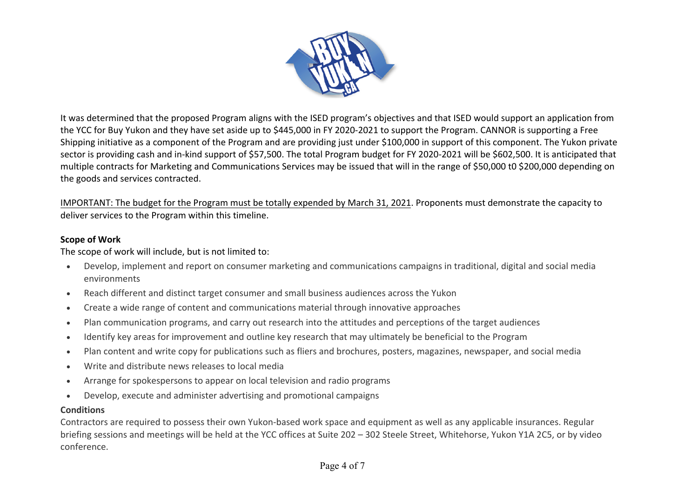

It was determined that the proposed Program aligns with the ISED program's objectives and that ISED would support an application from the YCC for Buy Yukon and they have set aside up to \$445,000 in FY 2020-2021 to support the Program. CANNOR is supporting a Free Shipping initiative as a component of the Program and are providing just under \$100,000 in support of this component. The Yukon private sector is providing cash and in-kind support of \$57,500. The total Program budget for FY 2020-2021 will be \$602,500. It is anticipated that multiple contracts for Marketing and Communications Services may be issued that will in the range of \$50,000 t0 \$200,000 depending on the goods and services contracted.

IMPORTANT: The budget for the Program must be totally expended by March 31, 2021. Proponents must demonstrate the capacity to deliver services to the Program within this timeline.

## **Scope of Work**

The scope of work will include, but is not limited to:

- Develop, implement and report on consumer marketing and communications campaigns in traditional, digital and social media environments
- Reach different and distinct target consumer and small business audiences across the Yukon
- Create a wide range of content and communications material through innovative approaches
- Plan communication programs, and carry out research into the attitudes and perceptions of the target audiences
- Identify key areas for improvement and outline key research that may ultimately be beneficial to the Program
- Plan content and write copy for publications such as fliers and brochures, posters, magazines, newspaper, and social media
- Write and distribute news releases to local media
- Arrange for spokespersons to appear on local television and radio programs
- Develop, execute and administer advertising and promotional campaigns

## **Conditions**

Contractors are required to possess their own Yukon-based work space and equipment as well as any applicable insurances. Regular briefing sessions and meetings will be held at the YCC offices at Suite 202 – 302 Steele Street, Whitehorse, Yukon Y1A 2C5, or by video conference.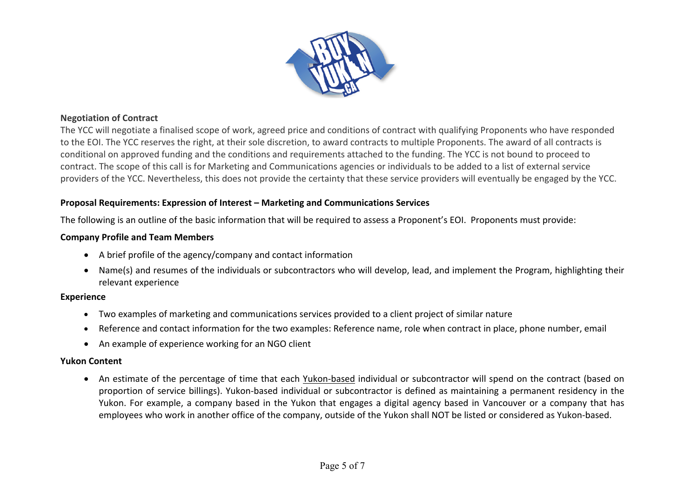

#### **Negotiation of Contract**

The YCC will negotiate a finalised scope of work, agreed price and conditions of contract with qualifying Proponents who have responded to the EOI. The YCC reserves the right, at their sole discretion, to award contracts to multiple Proponents. The award of all contracts is conditional on approved funding and the conditions and requirements attached to the funding. The YCC is not bound to proceed to contract. The scope of this call is for Marketing and Communications agencies or individuals to be added to a list of external service providers of the YCC. Nevertheless, this does not provide the certainty that these service providers will eventually be engaged by the YCC.

## **Proposal Requirements: Expression of Interest – Marketing and Communications Services**

The following is an outline of the basic information that will be required to assess a Proponent's EOI. Proponents must provide:

#### **Company Profile and Team Members**

- A brief profile of the agency/company and contact information
- Name(s) and resumes of the individuals or subcontractors who will develop, lead, and implement the Program, highlighting their relevant experience

#### **Experience**

- Two examples of marketing and communications services provided to a client project of similar nature
- Reference and contact information for the two examples: Reference name, role when contract in place, phone number, email
- An example of experience working for an NGO client

#### **Yukon Content**

• An estimate of the percentage of time that each Yukon-based individual or subcontractor will spend on the contract (based on proportion of service billings). Yukon-based individual or subcontractor is defined as maintaining a permanent residency in the Yukon. For example, a company based in the Yukon that engages a digital agency based in Vancouver or a company that has employees who work in another office of the company, outside of the Yukon shall NOT be listed or considered as Yukon-based.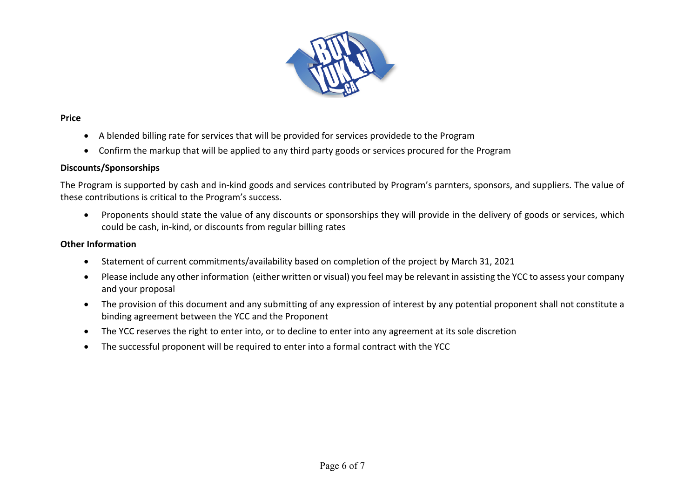

## **Price**

- A blended billing rate for services that will be provided for services providede to the Program
- Confirm the markup that will be applied to any third party goods or services procured for the Program

## **Discounts/Sponsorships**

The Program is supported by cash and in-kind goods and services contributed by Program's parnters, sponsors, and suppliers. The value of these contributions is critical to the Program's success.

• Proponents should state the value of any discounts or sponsorships they will provide in the delivery of goods or services, which could be cash, in-kind, or discounts from regular billing rates

## **Other Information**

- Statement of current commitments/availability based on completion of the project by March 31, 2021
- Please include any other information (either written or visual) you feel may be relevant in assisting the YCC to assess your company and your proposal
- The provision of this document and any submitting of any expression of interest by any potential proponent shall not constitute a binding agreement between the YCC and the Proponent
- The YCC reserves the right to enter into, or to decline to enter into any agreement at its sole discretion
- The successful proponent will be required to enter into a formal contract with the YCC